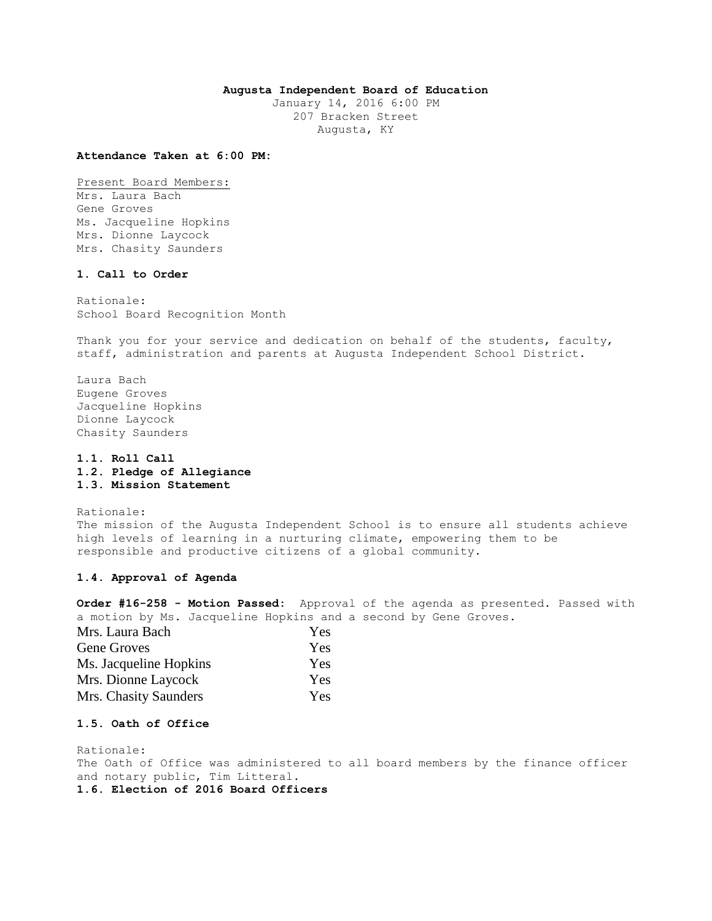## **Augusta Independent Board of Education**

January 14, 2016 6:00 PM 207 Bracken Street Augusta, KY

### **Attendance Taken at 6:00 PM:**

Present Board Members: Mrs. Laura Bach Gene Groves Ms. Jacqueline Hopkins Mrs. Dionne Laycock Mrs. Chasity Saunders

## **1. Call to Order**

Rationale: School Board Recognition Month

Thank you for your service and dedication on behalf of the students, faculty, staff, administration and parents at Augusta Independent School District.

Laura Bach Eugene Groves Jacqueline Hopkins Dionne Laycock Chasity Saunders

**1.1. Roll Call 1.2. Pledge of Allegiance 1.3. Mission Statement** 

Rationale: The mission of the Augusta Independent School is to ensure all students achieve high levels of learning in a nurturing climate, empowering them to be responsible and productive citizens of a global community.

## **1.4. Approval of Agenda**

**Order #16-258 - Motion Passed:** Approval of the agenda as presented. Passed with a motion by Ms. Jacqueline Hopkins and a second by Gene Groves.

| Mrs. Laura Bach        | <b>Yes</b> |
|------------------------|------------|
| Gene Groves            | <b>Yes</b> |
| Ms. Jacqueline Hopkins | <b>Yes</b> |
| Mrs. Dionne Laycock    | <b>Yes</b> |
| Mrs. Chasity Saunders  | Yes.       |

# **1.5. Oath of Office**

Rationale: The Oath of Office was administered to all board members by the finance officer and notary public, Tim Litteral. **1.6. Election of 2016 Board Officers**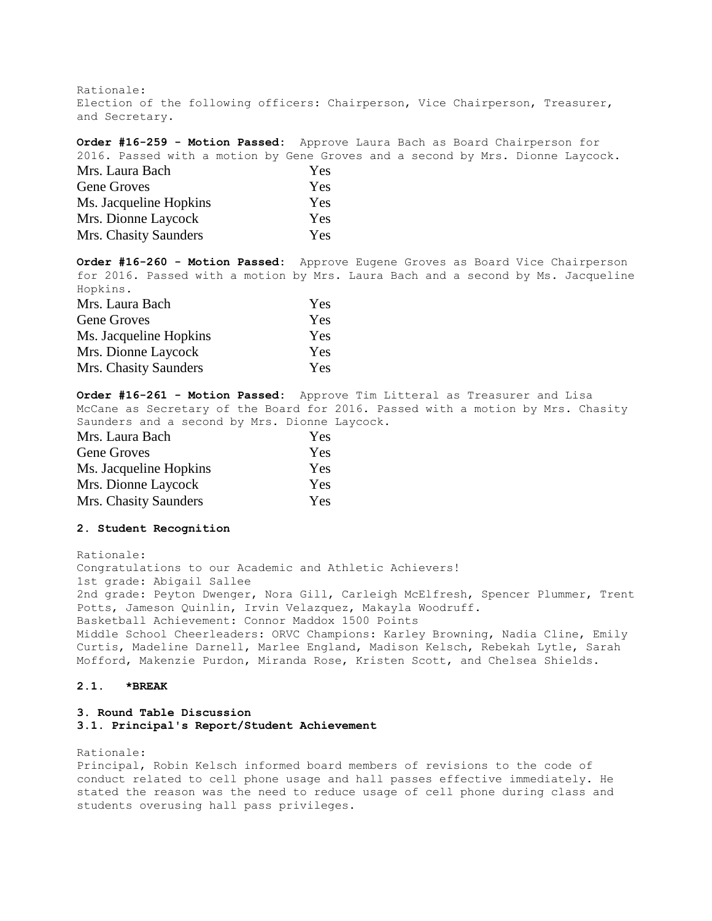Rationale:

Election of the following officers: Chairperson, Vice Chairperson, Treasurer, and Secretary.

**Order #16-259 - Motion Passed:** Approve Laura Bach as Board Chairperson for 2016. Passed with a motion by Gene Groves and a second by Mrs. Dionne Laycock.

| Mrs. Laura Bach        | Yes        |
|------------------------|------------|
| Gene Groves            | <b>Yes</b> |
| Ms. Jacqueline Hopkins | <b>Yes</b> |
| Mrs. Dionne Laycock    | <b>Yes</b> |
| Mrs. Chasity Saunders  | <b>Yes</b> |

**Order #16-260 - Motion Passed:** Approve Eugene Groves as Board Vice Chairperson for 2016. Passed with a motion by Mrs. Laura Bach and a second by Ms. Jacqueline Hopkins.

| Mrs. Laura Bach        | <b>Yes</b> |
|------------------------|------------|
| Gene Groves            | Yes        |
| Ms. Jacqueline Hopkins | <b>Yes</b> |
| Mrs. Dionne Laycock    | Yes        |
| Mrs. Chasity Saunders  | <b>Yes</b> |

**Order #16-261 - Motion Passed:** Approve Tim Litteral as Treasurer and Lisa McCane as Secretary of the Board for 2016. Passed with a motion by Mrs. Chasity Saunders and a second by Mrs. Dionne Laycock.

| Mrs. Laura Bach        | Yes |
|------------------------|-----|
| <b>Gene Groves</b>     | Yes |
| Ms. Jacqueline Hopkins | Yes |
| Mrs. Dionne Laycock    | Yes |
| Mrs. Chasity Saunders  | Yes |

#### **2. Student Recognition**

Rationale: Congratulations to our Academic and Athletic Achievers! 1st grade: Abigail Sallee 2nd grade: Peyton Dwenger, Nora Gill, Carleigh McElfresh, Spencer Plummer, Trent Potts, Jameson Quinlin, Irvin Velazquez, Makayla Woodruff. Basketball Achievement: Connor Maddox 1500 Points Middle School Cheerleaders: ORVC Champions: Karley Browning, Nadia Cline, Emily Curtis, Madeline Darnell, Marlee England, Madison Kelsch, Rebekah Lytle, Sarah Mofford, Makenzie Purdon, Miranda Rose, Kristen Scott, and Chelsea Shields.

# **2.1. \*BREAK**

# **3. Round Table Discussion 3.1. Principal's Report/Student Achievement**

Rationale: Principal, Robin Kelsch informed board members of revisions to the code of conduct related to cell phone usage and hall passes effective immediately. He stated the reason was the need to reduce usage of cell phone during class and students overusing hall pass privileges.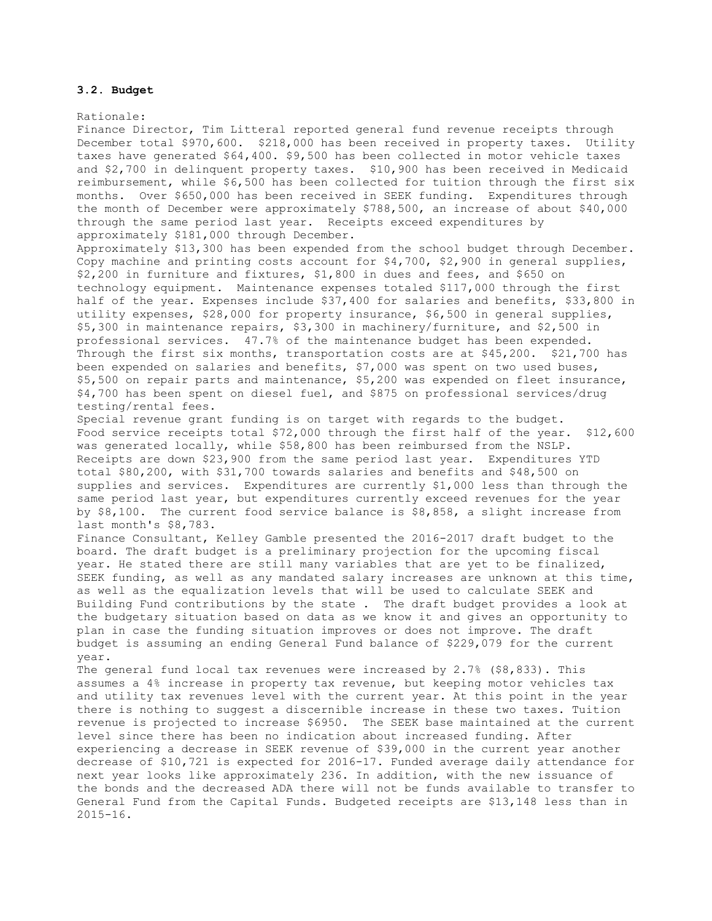### **3.2. Budget**

Rationale: Finance Director, Tim Litteral reported general fund revenue receipts through December total \$970,600. \$218,000 has been received in property taxes. Utility taxes have generated \$64,400. \$9,500 has been collected in motor vehicle taxes and \$2,700 in delinquent property taxes. \$10,900 has been received in Medicaid reimbursement, while \$6,500 has been collected for tuition through the first six months. Over \$650,000 has been received in SEEK funding. Expenditures through the month of December were approximately \$788,500, an increase of about \$40,000 through the same period last year. Receipts exceed expenditures by approximately \$181,000 through December. Approximately \$13,300 has been expended from the school budget through December. Copy machine and printing costs account for \$4,700, \$2,900 in general supplies, \$2,200 in furniture and fixtures, \$1,800 in dues and fees, and \$650 on technology equipment. Maintenance expenses totaled \$117,000 through the first half of the year. Expenses include \$37,400 for salaries and benefits, \$33,800 in utility expenses, \$28,000 for property insurance, \$6,500 in general supplies, \$5,300 in maintenance repairs, \$3,300 in machinery/furniture, and \$2,500 in professional services. 47.7% of the maintenance budget has been expended. Through the first six months, transportation costs are at \$45,200. \$21,700 has been expended on salaries and benefits, \$7,000 was spent on two used buses, \$5,500 on repair parts and maintenance, \$5,200 was expended on fleet insurance, \$4,700 has been spent on diesel fuel, and \$875 on professional services/drug testing/rental fees. Special revenue grant funding is on target with regards to the budget. Food service receipts total \$72,000 through the first half of the year. \$12,600 was generated locally, while \$58,800 has been reimbursed from the NSLP. Receipts are down \$23,900 from the same period last year. Expenditures YTD total \$80,200, with \$31,700 towards salaries and benefits and \$48,500 on supplies and services. Expenditures are currently \$1,000 less than through the same period last year, but expenditures currently exceed revenues for the year by \$8,100. The current food service balance is \$8,858, a slight increase from last month's \$8,783. Finance Consultant, Kelley Gamble presented the 2016-2017 draft budget to the board. The draft budget is a preliminary projection for the upcoming fiscal year. He stated there are still many variables that are yet to be finalized, SEEK funding, as well as any mandated salary increases are unknown at this time, as well as the equalization levels that will be used to calculate SEEK and Building Fund contributions by the state . The draft budget provides a look at the budgetary situation based on data as we know it and gives an opportunity to plan in case the funding situation improves or does not improve. The draft budget is assuming an ending General Fund balance of \$229,079 for the current year. The general fund local tax revenues were increased by 2.7% (\$8,833). This

assumes a 4% increase in property tax revenue, but keeping motor vehicles tax and utility tax revenues level with the current year. At this point in the year there is nothing to suggest a discernible increase in these two taxes. Tuition revenue is projected to increase \$6950. The SEEK base maintained at the current level since there has been no indication about increased funding. After experiencing a decrease in SEEK revenue of \$39,000 in the current year another decrease of \$10,721 is expected for 2016-17. Funded average daily attendance for next year looks like approximately 236. In addition, with the new issuance of the bonds and the decreased ADA there will not be funds available to transfer to General Fund from the Capital Funds. Budgeted receipts are \$13,148 less than in 2015-16.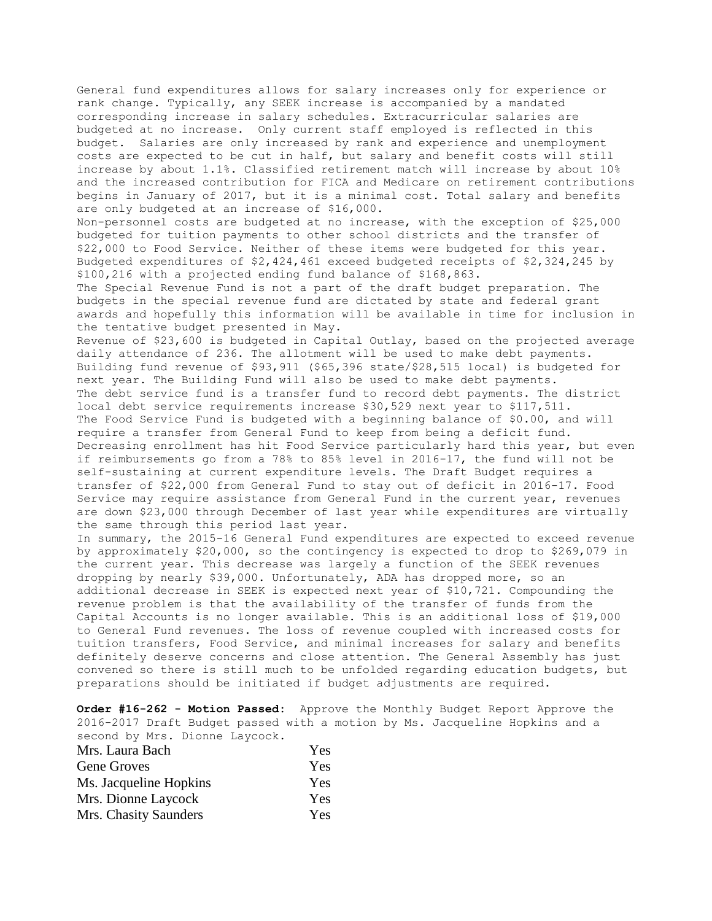General fund expenditures allows for salary increases only for experience or rank change. Typically, any SEEK increase is accompanied by a mandated corresponding increase in salary schedules. Extracurricular salaries are budgeted at no increase. Only current staff employed is reflected in this budget. Salaries are only increased by rank and experience and unemployment costs are expected to be cut in half, but salary and benefit costs will still increase by about 1.1%. Classified retirement match will increase by about 10% and the increased contribution for FICA and Medicare on retirement contributions begins in January of 2017, but it is a minimal cost. Total salary and benefits are only budgeted at an increase of \$16,000.

Non-personnel costs are budgeted at no increase, with the exception of \$25,000 budgeted for tuition payments to other school districts and the transfer of \$22,000 to Food Service. Neither of these items were budgeted for this year. Budgeted expenditures of \$2,424,461 exceed budgeted receipts of \$2,324,245 by \$100,216 with a projected ending fund balance of \$168,863.

The Special Revenue Fund is not a part of the draft budget preparation. The budgets in the special revenue fund are dictated by state and federal grant awards and hopefully this information will be available in time for inclusion in the tentative budget presented in May.

Revenue of \$23,600 is budgeted in Capital Outlay, based on the projected average daily attendance of 236. The allotment will be used to make debt payments. Building fund revenue of \$93,911 (\$65,396 state/\$28,515 local) is budgeted for next year. The Building Fund will also be used to make debt payments. The debt service fund is a transfer fund to record debt payments. The district local debt service requirements increase \$30,529 next year to \$117,511. The Food Service Fund is budgeted with a beginning balance of \$0.00, and will require a transfer from General Fund to keep from being a deficit fund. Decreasing enrollment has hit Food Service particularly hard this year, but even if reimbursements go from a 78% to 85% level in 2016-17, the fund will not be self-sustaining at current expenditure levels. The Draft Budget requires a transfer of \$22,000 from General Fund to stay out of deficit in 2016-17. Food Service may require assistance from General Fund in the current year, revenues are down \$23,000 through December of last year while expenditures are virtually the same through this period last year.

In summary, the 2015-16 General Fund expenditures are expected to exceed revenue by approximately \$20,000, so the contingency is expected to drop to \$269,079 in the current year. This decrease was largely a function of the SEEK revenues dropping by nearly \$39,000. Unfortunately, ADA has dropped more, so an additional decrease in SEEK is expected next year of \$10,721. Compounding the revenue problem is that the availability of the transfer of funds from the Capital Accounts is no longer available. This is an additional loss of \$19,000 to General Fund revenues. The loss of revenue coupled with increased costs for tuition transfers, Food Service, and minimal increases for salary and benefits definitely deserve concerns and close attention. The General Assembly has just convened so there is still much to be unfolded regarding education budgets, but preparations should be initiated if budget adjustments are required.

**Order #16-262 - Motion Passed:** Approve the Monthly Budget Report Approve the 2016-2017 Draft Budget passed with a motion by Ms. Jacqueline Hopkins and a second by Mrs. Dionne Laycock.

| Mrs. Laura Bach        | <b>Yes</b> |
|------------------------|------------|
| Gene Groves            | <b>Yes</b> |
| Ms. Jacqueline Hopkins | <b>Yes</b> |
| Mrs. Dionne Laycock    | <b>Yes</b> |
| Mrs. Chasity Saunders  | <b>Yes</b> |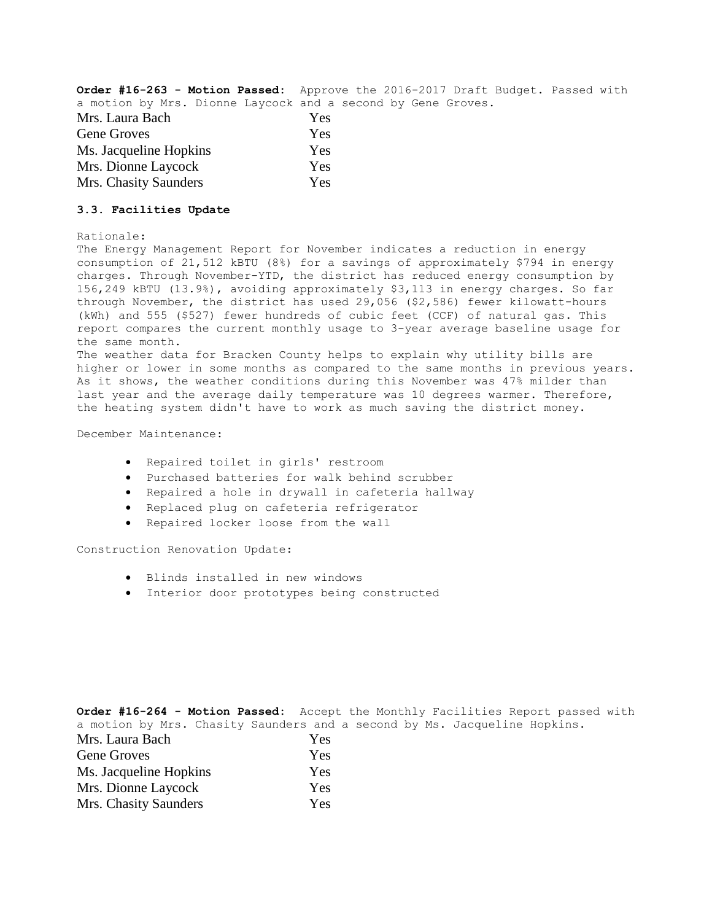**Order #16-263 - Motion Passed:** Approve the 2016-2017 Draft Budget. Passed with a motion by Mrs. Dionne Laycock and a second by Gene Groves.

| Mrs. Laura Bach        | Yes |
|------------------------|-----|
| Gene Groves            | Yes |
| Ms. Jacqueline Hopkins | Yes |
| Mrs. Dionne Laycock    | Yes |
| Mrs. Chasity Saunders  | Yes |

# **3.3. Facilities Update**

#### Rationale:

The Energy Management Report for November indicates a reduction in energy consumption of 21,512 kBTU (8%) for a savings of approximately \$794 in energy charges. Through November-YTD, the district has reduced energy consumption by 156,249 kBTU (13.9%), avoiding approximately \$3,113 in energy charges. So far through November, the district has used 29,056 (\$2,586) fewer kilowatt-hours (kWh) and 555 (\$527) fewer hundreds of cubic feet (CCF) of natural gas. This report compares the current monthly usage to 3-year average baseline usage for the same month. The weather data for Bracken County helps to explain why utility bills are higher or lower in some months as compared to the same months in previous years.

As it shows, the weather conditions during this November was 47% milder than last year and the average daily temperature was 10 degrees warmer. Therefore, the heating system didn't have to work as much saving the district money.

December Maintenance:

- Repaired toilet in girls' restroom
- Purchased batteries for walk behind scrubber
- Repaired a hole in drywall in cafeteria hallway
- Replaced plug on cafeteria refrigerator
- Repaired locker loose from the wall

Construction Renovation Update:

- Blinds installed in new windows
- Interior door prototypes being constructed

|                        | <b>Order #16-264 - Motion Passed:</b> Accept the Monthly Facilities Report passed with |
|------------------------|----------------------------------------------------------------------------------------|
|                        | a motion by Mrs. Chasity Saunders and a second by Ms. Jacqueline Hopkins.              |
| Mrs. Laura Bach        | Yes                                                                                    |
| <b>Gene Groves</b>     | Yes                                                                                    |
| Ms. Jacqueline Hopkins | Yes                                                                                    |
| Mrs. Dionne Laycock    | Yes                                                                                    |
| Mrs. Chasity Saunders  | Yes                                                                                    |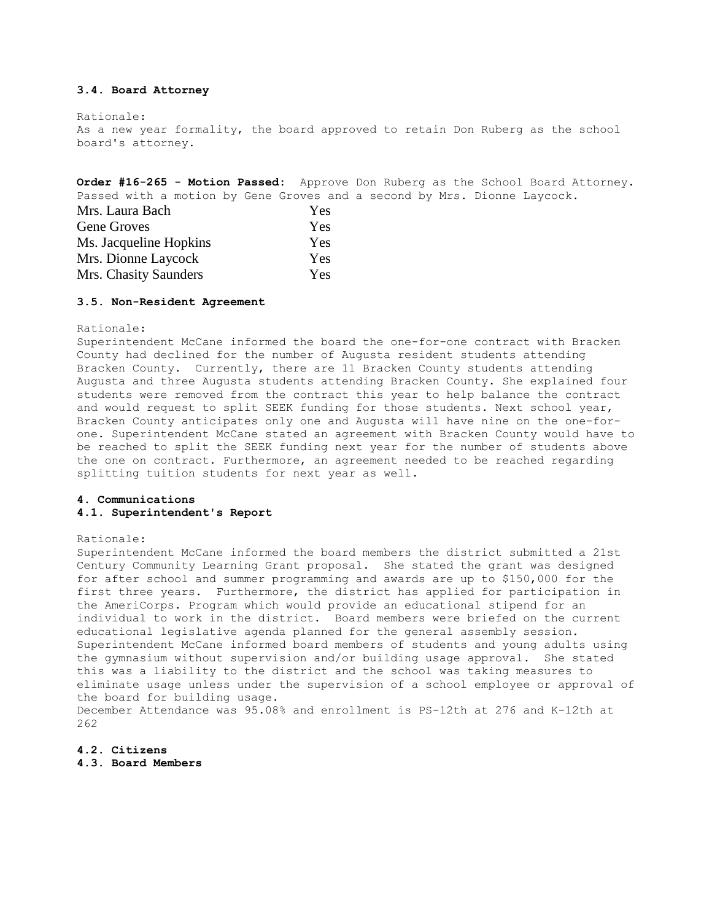## **3.4. Board Attorney**

Rationale: As a new year formality, the board approved to retain Don Ruberg as the school board's attorney.

**Order #16-265 - Motion Passed:** Approve Don Ruberg as the School Board Attorney. Passed with a motion by Gene Groves and a second by Mrs. Dionne Laycock.

| Mrs. Laura Bach        | Yes        |
|------------------------|------------|
| Gene Groves            | <b>Yes</b> |
| Ms. Jacqueline Hopkins | <b>Yes</b> |
| Mrs. Dionne Laycock    | <b>Yes</b> |
| Mrs. Chasity Saunders  | <b>Yes</b> |

### **3.5. Non-Resident Agreement**

Rationale:

Superintendent McCane informed the board the one-for-one contract with Bracken County had declined for the number of Augusta resident students attending Bracken County. Currently, there are 11 Bracken County students attending Augusta and three Augusta students attending Bracken County. She explained four students were removed from the contract this year to help balance the contract and would request to split SEEK funding for those students. Next school year, Bracken County anticipates only one and Augusta will have nine on the one-forone. Superintendent McCane stated an agreement with Bracken County would have to be reached to split the SEEK funding next year for the number of students above the one on contract. Furthermore, an agreement needed to be reached regarding splitting tuition students for next year as well.

## **4. Communications 4.1. Superintendent's Report**

#### Rationale:

Superintendent McCane informed the board members the district submitted a 21st Century Community Learning Grant proposal. She stated the grant was designed for after school and summer programming and awards are up to \$150,000 for the first three years. Furthermore, the district has applied for participation in the AmeriCorps. Program which would provide an educational stipend for an individual to work in the district. Board members were briefed on the current educational legislative agenda planned for the general assembly session. Superintendent McCane informed board members of students and young adults using the gymnasium without supervision and/or building usage approval. She stated this was a liability to the district and the school was taking measures to eliminate usage unless under the supervision of a school employee or approval of the board for building usage. December Attendance was 95.08% and enrollment is PS-12th at 276 and K-12th at

262

### **4.2. Citizens**

**4.3. Board Members**